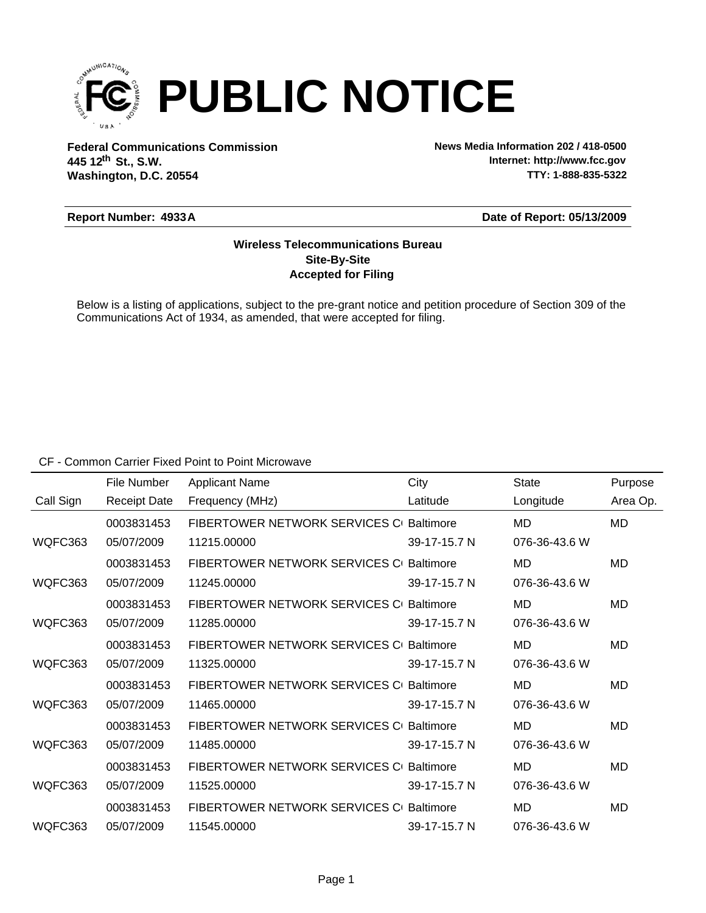

**Federal Communications Commission News Media Information 202 / 418-0500 Washington, D.C. 20554 th 445 12 St., S.W.**

**Internet: http://www.fcc.gov TTY: 1-888-835-5322**

#### **Report Number: 4933A**

#### **Date of Report: 05/13/2009**

### **Accepted for Filing Site-By-Site Wireless Telecommunications Bureau**

Below is a listing of applications, subject to the pre-grant notice and petition procedure of Section 309 of the Communications Act of 1934, as amended, that were accepted for filing.

CF - Common Carrier Fixed Point to Point Microwave

|           | File Number         | <b>Applicant Name</b>                   | City             | <b>State</b>  | Purpose  |
|-----------|---------------------|-----------------------------------------|------------------|---------------|----------|
| Call Sign | <b>Receipt Date</b> | Frequency (MHz)                         | Latitude         | Longitude     | Area Op. |
|           | 0003831453          | FIBERTOWER NETWORK SERVICES C Baltimore |                  | MD            | MD       |
| WQFC363   | 05/07/2009          | 11215.00000                             | 39-17-15.7 N     | 076-36-43.6 W |          |
|           | 0003831453          | FIBERTOWER NETWORK SERVICES C           | <b>Baltimore</b> | MD            | MD       |
| WQFC363   | 05/07/2009          | 11245.00000                             | 39-17-15.7 N     | 076-36-43.6 W |          |
|           | 0003831453          | FIBERTOWER NETWORK SERVICES C           | <b>Baltimore</b> | MD            | MD       |
| WQFC363   | 05/07/2009          | 11285.00000                             | 39-17-15.7 N     | 076-36-43.6 W |          |
|           | 0003831453          | FIBERTOWER NETWORK SERVICES C Baltimore |                  | MD            | MD       |
| WQFC363   | 05/07/2009          | 11325.00000                             | 39-17-15.7 N     | 076-36-43.6 W |          |
|           | 0003831453          | FIBERTOWER NETWORK SERVICES C Baltimore |                  | MD            | MD       |
| WQFC363   | 05/07/2009          | 11465.00000                             | 39-17-15.7 N     | 076-36-43.6 W |          |
|           | 0003831453          | FIBERTOWER NETWORK SERVICES C           | <b>Baltimore</b> | MD            | MD       |
| WQFC363   | 05/07/2009          | 11485.00000                             | 39-17-15.7 N     | 076-36-43.6 W |          |
|           | 0003831453          | FIBERTOWER NETWORK SERVICES C           | <b>Baltimore</b> | MD            | MD       |
| WQFC363   | 05/07/2009          | 11525.00000                             | 39-17-15.7 N     | 076-36-43.6 W |          |
|           | 0003831453          | FIBERTOWER NETWORK SERVICES C Baltimore |                  | MD            | MD       |
| WQFC363   | 05/07/2009          | 11545.00000                             | 39-17-15.7 N     | 076-36-43.6 W |          |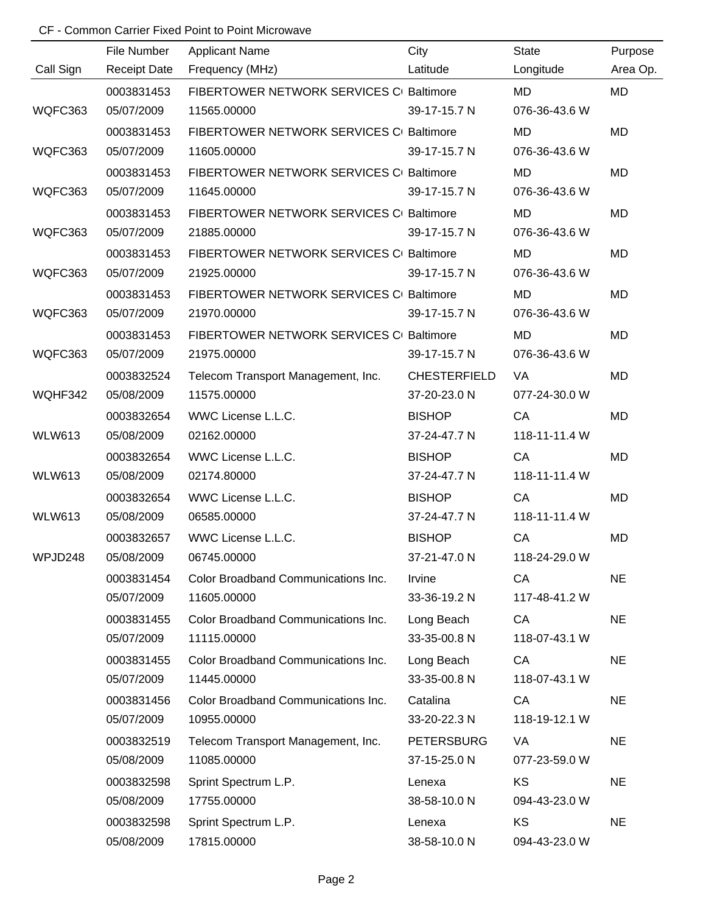# CF - Common Carrier Fixed Point to Point Microwave

|               | File Number         | <b>Applicant Name</b>                    | City                | <b>State</b>  | Purpose   |
|---------------|---------------------|------------------------------------------|---------------------|---------------|-----------|
| Call Sign     | <b>Receipt Date</b> | Frequency (MHz)                          | Latitude            | Longitude     | Area Op.  |
|               | 0003831453          | FIBERTOWER NETWORK SERVICES CI Baltimore |                     | <b>MD</b>     | <b>MD</b> |
| WQFC363       | 05/07/2009          | 11565.00000                              | 39-17-15.7 N        | 076-36-43.6 W |           |
|               | 0003831453          | FIBERTOWER NETWORK SERVICES C Baltimore  |                     | <b>MD</b>     | <b>MD</b> |
| WQFC363       | 05/07/2009          | 11605.00000                              | 39-17-15.7 N        | 076-36-43.6 W |           |
|               | 0003831453          | FIBERTOWER NETWORK SERVICES C Baltimore  |                     | <b>MD</b>     | MD        |
| WQFC363       | 05/07/2009          | 11645.00000                              | 39-17-15.7 N        | 076-36-43.6 W |           |
|               | 0003831453          | FIBERTOWER NETWORK SERVICES C Baltimore  |                     | <b>MD</b>     | MD        |
| WQFC363       | 05/07/2009          | 21885.00000                              | 39-17-15.7 N        | 076-36-43.6 W |           |
|               | 0003831453          | FIBERTOWER NETWORK SERVICES C Baltimore  |                     | <b>MD</b>     | MD        |
| WQFC363       | 05/07/2009          | 21925.00000                              | 39-17-15.7 N        | 076-36-43.6 W |           |
|               | 0003831453          | FIBERTOWER NETWORK SERVICES C Baltimore  |                     | <b>MD</b>     | MD        |
| WQFC363       | 05/07/2009          | 21970.00000                              | 39-17-15.7 N        | 076-36-43.6 W |           |
|               | 0003831453          | FIBERTOWER NETWORK SERVICES C Baltimore  |                     | <b>MD</b>     | <b>MD</b> |
| WQFC363       | 05/07/2009          | 21975.00000                              | 39-17-15.7 N        | 076-36-43.6 W |           |
|               | 0003832524          | Telecom Transport Management, Inc.       | <b>CHESTERFIELD</b> | VA            | MD        |
| WQHF342       | 05/08/2009          | 11575.00000                              | 37-20-23.0 N        | 077-24-30.0 W |           |
|               | 0003832654          | WWC License L.L.C.                       | <b>BISHOP</b>       | CA            | <b>MD</b> |
| <b>WLW613</b> | 05/08/2009          | 02162.00000                              | 37-24-47.7 N        | 118-11-11.4 W |           |
|               | 0003832654          | WWC License L.L.C.                       | <b>BISHOP</b>       | CA            | <b>MD</b> |
| <b>WLW613</b> | 05/08/2009          | 02174.80000                              | 37-24-47.7 N        | 118-11-11.4 W |           |
|               | 0003832654          | WWC License L.L.C.                       | <b>BISHOP</b>       | CA            | <b>MD</b> |
| <b>WLW613</b> | 05/08/2009          | 06585.00000                              | 37-24-47.7 N        | 118-11-11.4 W |           |
|               | 0003832657          | WWC License L.L.C.                       | <b>BISHOP</b>       | CA            | MD        |
| WPJD248       | 05/08/2009          | 06745.00000                              | 37-21-47.0 N        | 118-24-29.0 W |           |
|               | 0003831454          | Color Broadband Communications Inc.      | Irvine              | CA            | <b>NE</b> |
|               | 05/07/2009          | 11605.00000                              | 33-36-19.2 N        | 117-48-41.2 W |           |
|               | 0003831455          | Color Broadband Communications Inc.      | Long Beach          | CA            | <b>NE</b> |
|               | 05/07/2009          | 11115.00000                              | 33-35-00.8 N        | 118-07-43.1 W |           |
|               | 0003831455          | Color Broadband Communications Inc.      | Long Beach          | CA            | <b>NE</b> |
|               | 05/07/2009          | 11445.00000                              | 33-35-00.8 N        | 118-07-43.1 W |           |
|               | 0003831456          | Color Broadband Communications Inc.      | Catalina            | CA            | <b>NE</b> |
|               | 05/07/2009          | 10955.00000                              | 33-20-22.3 N        | 118-19-12.1 W |           |
|               | 0003832519          | Telecom Transport Management, Inc.       | <b>PETERSBURG</b>   | <b>VA</b>     | <b>NE</b> |
|               | 05/08/2009          | 11085.00000                              | 37-15-25.0 N        | 077-23-59.0 W |           |
|               | 0003832598          | Sprint Spectrum L.P.                     | Lenexa              | KS            | <b>NE</b> |
|               | 05/08/2009          | 17755.00000                              | 38-58-10.0 N        | 094-43-23.0 W |           |
|               | 0003832598          | Sprint Spectrum L.P.                     | Lenexa              | KS            | <b>NE</b> |
|               | 05/08/2009          | 17815.00000                              | 38-58-10.0 N        | 094-43-23.0 W |           |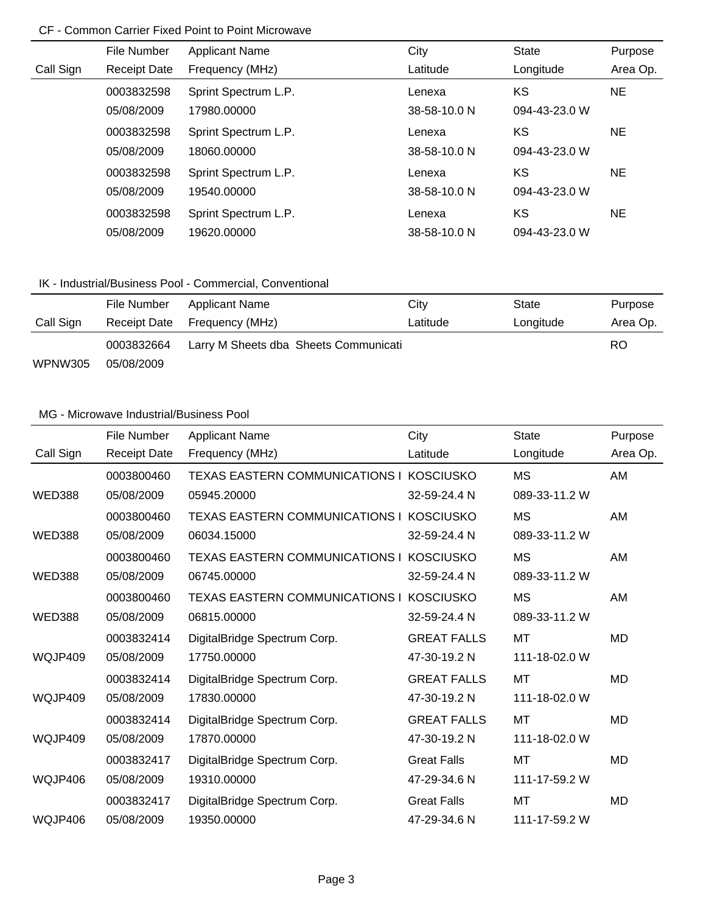### CF - Common Carrier Fixed Point to Point Microwave

|           | File Number         | <b>Applicant Name</b> | City         | <b>State</b>  | Purpose  |
|-----------|---------------------|-----------------------|--------------|---------------|----------|
| Call Sign | <b>Receipt Date</b> | Frequency (MHz)       | Latitude     | Longitude     | Area Op. |
|           | 0003832598          | Sprint Spectrum L.P.  | Lenexa       | KS            | NE.      |
|           | 05/08/2009          | 17980.00000           | 38-58-10.0 N | 094-43-23.0 W |          |
|           | 0003832598          | Sprint Spectrum L.P.  | Lenexa       | KS            | NE.      |
|           | 05/08/2009          | 18060.00000           | 38-58-10.0 N | 094-43-23.0 W |          |
|           | 0003832598          | Sprint Spectrum L.P.  | Lenexa       | KS            | NE.      |
|           | 05/08/2009          | 19540.00000           | 38-58-10.0 N | 094-43-23.0 W |          |
|           | 0003832598          | Sprint Spectrum L.P.  | Lenexa       | KS            | NE.      |
|           | 05/08/2009          | 19620.00000           | 38-58-10.0 N | 094-43-23.0 W |          |

# IK - Industrial/Business Pool - Commercial, Conventional

|           | File Number  | Applicant Name                        | City     | State     | Purpose  |
|-----------|--------------|---------------------------------------|----------|-----------|----------|
| Call Sign | Receipt Date | Frequency (MHz)                       | Latitude | Longitude | Area Op. |
|           | 0003832664   | Larry M Sheets dba Sheets Communicati |          | RO.       |          |
| WPNW305   | 05/08/2009   |                                       |          |           |          |

### MG - Microwave Industrial/Business Pool

|               | File Number         | <b>Applicant Name</b>                    | City               | <b>State</b>  | Purpose   |
|---------------|---------------------|------------------------------------------|--------------------|---------------|-----------|
| Call Sign     | <b>Receipt Date</b> | Frequency (MHz)                          | Latitude           | Longitude     | Area Op.  |
|               | 0003800460          | TEXAS EASTERN COMMUNICATIONS I KOSCIUSKO |                    | <b>MS</b>     | AM        |
| <b>WED388</b> | 05/08/2009          | 05945.20000                              | 32-59-24.4 N       | 089-33-11.2 W |           |
|               | 0003800460          | TEXAS EASTERN COMMUNICATIONS I           | <b>KOSCIUSKO</b>   | <b>MS</b>     | AM        |
| <b>WED388</b> | 05/08/2009          | 06034.15000                              | 32-59-24.4 N       | 089-33-11.2 W |           |
|               | 0003800460          | TEXAS EASTERN COMMUNICATIONS I KOSCIUSKO |                    | <b>MS</b>     | AM        |
| <b>WED388</b> | 05/08/2009          | 06745.00000                              | 32-59-24.4 N       | 089-33-11.2 W |           |
|               | 0003800460          | TEXAS EASTERN COMMUNICATIONS I KOSCIUSKO |                    | <b>MS</b>     | AM        |
| <b>WED388</b> | 05/08/2009          | 06815.00000                              | 32-59-24.4 N       | 089-33-11.2 W |           |
|               | 0003832414          | DigitalBridge Spectrum Corp.             | <b>GREAT FALLS</b> | MT            | <b>MD</b> |
| WQJP409       | 05/08/2009          | 17750.00000                              | 47-30-19.2 N       | 111-18-02.0 W |           |
|               | 0003832414          | DigitalBridge Spectrum Corp.             | <b>GREAT FALLS</b> | MT            | MD        |
| WQJP409       | 05/08/2009          | 17830.00000                              | 47-30-19.2 N       | 111-18-02.0 W |           |
|               | 0003832414          | DigitalBridge Spectrum Corp.             | <b>GREAT FALLS</b> | MT            | <b>MD</b> |
| WQJP409       | 05/08/2009          | 17870.00000                              | 47-30-19.2 N       | 111-18-02.0 W |           |
|               | 0003832417          | DigitalBridge Spectrum Corp.             | <b>Great Falls</b> | MT            | <b>MD</b> |
| WQJP406       | 05/08/2009          | 19310.00000                              | 47-29-34.6 N       | 111-17-59.2 W |           |
|               | 0003832417          | DigitalBridge Spectrum Corp.             | <b>Great Falls</b> | MT            | <b>MD</b> |
| WQJP406       | 05/08/2009          | 19350.00000                              | 47-29-34.6 N       | 111-17-59.2 W |           |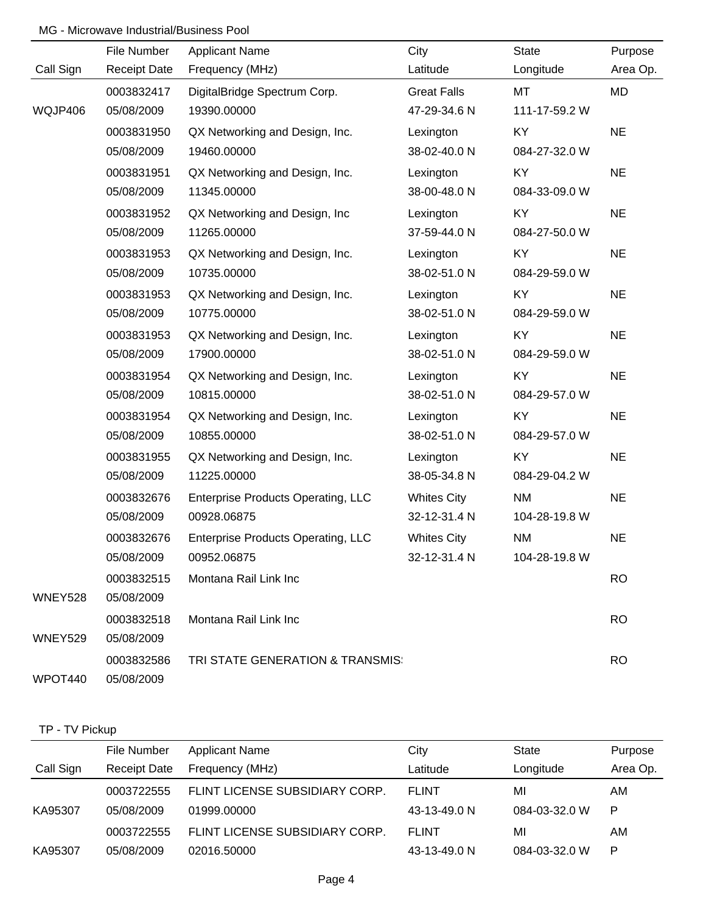### MG - Microwave Industrial/Business Pool

|           | File Number         | <b>Applicant Name</b>                     | City               | <b>State</b>  | Purpose   |
|-----------|---------------------|-------------------------------------------|--------------------|---------------|-----------|
| Call Sign | <b>Receipt Date</b> | Frequency (MHz)                           | Latitude           | Longitude     | Area Op.  |
|           | 0003832417          | DigitalBridge Spectrum Corp.              | <b>Great Falls</b> | MT            | MD        |
| WQJP406   | 05/08/2009          | 19390.00000                               | 47-29-34.6 N       | 111-17-59.2 W |           |
|           | 0003831950          | QX Networking and Design, Inc.            | Lexington          | KY            | <b>NE</b> |
|           | 05/08/2009          | 19460.00000                               | 38-02-40.0 N       | 084-27-32.0 W |           |
|           | 0003831951          | QX Networking and Design, Inc.            | Lexington          | KY            | <b>NE</b> |
|           | 05/08/2009          | 11345.00000                               | 38-00-48.0 N       | 084-33-09.0 W |           |
|           | 0003831952          | QX Networking and Design, Inc.            | Lexington          | KY            | <b>NE</b> |
|           | 05/08/2009          | 11265.00000                               | 37-59-44.0 N       | 084-27-50.0 W |           |
|           | 0003831953          | QX Networking and Design, Inc.            | Lexington          | KY            | <b>NE</b> |
|           | 05/08/2009          | 10735.00000                               | 38-02-51.0 N       | 084-29-59.0 W |           |
|           | 0003831953          | QX Networking and Design, Inc.            | Lexington          | KY            | <b>NE</b> |
|           | 05/08/2009          | 10775.00000                               | 38-02-51.0 N       | 084-29-59.0 W |           |
|           | 0003831953          | QX Networking and Design, Inc.            | Lexington          | KY            | <b>NE</b> |
|           | 05/08/2009          | 17900.00000                               | 38-02-51.0 N       | 084-29-59.0 W |           |
|           | 0003831954          | QX Networking and Design, Inc.            | Lexington          | KY            | <b>NE</b> |
|           | 05/08/2009          | 10815.00000                               | 38-02-51.0 N       | 084-29-57.0 W |           |
|           | 0003831954          | QX Networking and Design, Inc.            | Lexington          | KY            | <b>NE</b> |
|           | 05/08/2009          | 10855.00000                               | 38-02-51.0 N       | 084-29-57.0 W |           |
|           | 0003831955          | QX Networking and Design, Inc.            | Lexington          | KY            | <b>NE</b> |
|           | 05/08/2009          | 11225.00000                               | 38-05-34.8 N       | 084-29-04.2 W |           |
|           | 0003832676          | <b>Enterprise Products Operating, LLC</b> | <b>Whites City</b> | <b>NM</b>     | <b>NE</b> |
|           | 05/08/2009          | 00928.06875                               | 32-12-31.4 N       | 104-28-19.8 W |           |
|           | 0003832676          | <b>Enterprise Products Operating, LLC</b> | <b>Whites City</b> | <b>NM</b>     | <b>NE</b> |
|           | 05/08/2009          | 00952.06875                               | 32-12-31.4 N       | 104-28-19.8 W |           |
|           | 0003832515          | Montana Rail Link Inc                     |                    |               | <b>RO</b> |
| WNEY528   | 05/08/2009          |                                           |                    |               |           |
|           | 0003832518          | Montana Rail Link Inc                     |                    |               | <b>RO</b> |
| WNEY529   | 05/08/2009          |                                           |                    |               |           |
|           | 0003832586          | TRI STATE GENERATION & TRANSMIS:          |                    |               | <b>RO</b> |
| WPOT440   | 05/08/2009          |                                           |                    |               |           |

## TP - TV Pickup

|           | File Number         | <b>Applicant Name</b>          | City         | State         | Purpose  |
|-----------|---------------------|--------------------------------|--------------|---------------|----------|
| Call Sign | <b>Receipt Date</b> | Frequency (MHz)                | Latitude     | Longitude     | Area Op. |
|           | 0003722555          | FLINT LICENSE SUBSIDIARY CORP. | <b>FLINT</b> | MI            | AM       |
| KA95307   | 05/08/2009          | 01999.00000                    | 43-13-49.0 N | 084-03-32.0 W | P        |
|           | 0003722555          | FLINT LICENSE SUBSIDIARY CORP. | <b>FLINT</b> | MI            | AM       |
| KA95307   | 05/08/2009          | 02016.50000                    | 43-13-49.0 N | 084-03-32.0 W | P        |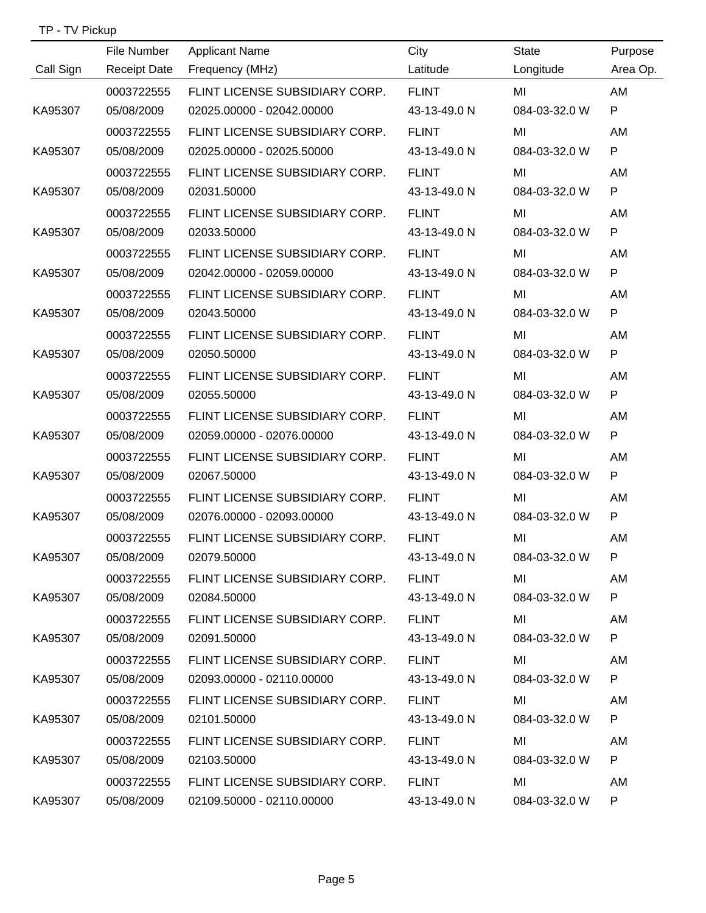| TP - TV Pickup |                     |                                                           |              |               |              |
|----------------|---------------------|-----------------------------------------------------------|--------------|---------------|--------------|
|                | File Number         | <b>Applicant Name</b>                                     | City         | <b>State</b>  | Purpose      |
| Call Sign      | <b>Receipt Date</b> | Frequency (MHz)                                           | Latitude     | Longitude     | Area Op.     |
|                | 0003722555          | FLINT LICENSE SUBSIDIARY CORP.                            | <b>FLINT</b> | MI            | AM           |
| KA95307        | 05/08/2009          | 02025.00000 - 02042.00000                                 | 43-13-49.0 N | 084-03-32.0 W | P            |
|                | 0003722555          | FLINT LICENSE SUBSIDIARY CORP.                            | <b>FLINT</b> | MI            | AM           |
| KA95307        | 05/08/2009          | 02025.00000 - 02025.50000                                 | 43-13-49.0 N | 084-03-32.0 W | P            |
|                | 0003722555          | FLINT LICENSE SUBSIDIARY CORP.                            | <b>FLINT</b> | MI            | AM           |
| KA95307        | 05/08/2009          | 02031.50000                                               | 43-13-49.0 N | 084-03-32.0 W | P            |
|                | 0003722555          | FLINT LICENSE SUBSIDIARY CORP.                            | <b>FLINT</b> | MI            | AM           |
| KA95307        | 05/08/2009          | 02033.50000                                               | 43-13-49.0 N | 084-03-32.0 W | P            |
|                | 0003722555          | FLINT LICENSE SUBSIDIARY CORP.                            | <b>FLINT</b> | MI            | AM           |
| KA95307        | 05/08/2009          | 02042.00000 - 02059.00000                                 | 43-13-49.0 N | 084-03-32.0 W | P            |
|                | 0003722555          | FLINT LICENSE SUBSIDIARY CORP.                            | <b>FLINT</b> | MI            | AM           |
| KA95307        | 05/08/2009          | 02043.50000                                               | 43-13-49.0 N | 084-03-32.0 W | P            |
|                | 0003722555          | FLINT LICENSE SUBSIDIARY CORP.                            | <b>FLINT</b> | MI            | AM           |
| KA95307        | 05/08/2009          | 02050.50000                                               | 43-13-49.0 N | 084-03-32.0 W | P            |
|                | 0003722555          | FLINT LICENSE SUBSIDIARY CORP.                            | <b>FLINT</b> | MI            | AM           |
| KA95307        | 05/08/2009          | 02055.50000                                               | 43-13-49.0 N | 084-03-32.0 W | P            |
|                | 0003722555          | FLINT LICENSE SUBSIDIARY CORP.                            | <b>FLINT</b> | MI            | AM           |
| KA95307        | 05/08/2009          | 02059.00000 - 02076.00000                                 | 43-13-49.0 N | 084-03-32.0 W | ${\sf P}$    |
|                | 0003722555          | FLINT LICENSE SUBSIDIARY CORP.                            | <b>FLINT</b> | MI            | AM           |
| KA95307        | 05/08/2009          | 02067.50000                                               | 43-13-49.0 N | 084-03-32.0 W | P            |
|                | 0003722555          | FLINT LICENSE SUBSIDIARY CORP.                            | <b>FLINT</b> | MI            | AM           |
| KA95307        | 05/08/2009          | 02076.00000 - 02093.00000                                 | 43-13-49.0 N | 084-03-32.0 W | $\mathsf{P}$ |
|                | 0003722555          | FLINT LICENSE SUBSIDIARY CORP                             | FI INT.      | MI            | ΑM           |
| KA95307        | 05/08/2009          | 02079.50000                                               | 43-13-49.0 N | 084-03-32.0 W | P.           |
|                | 0003722555          | FLINT LICENSE SUBSIDIARY CORP. FLINT                      |              | MI            | AM           |
| KA95307        | 05/08/2009          | 02084.50000                                               | 43-13-49.0 N | 084-03-32.0 W | P.           |
|                | 0003722555          | FLINT LICENSE SUBSIDIARY CORP. FLINT                      |              | MI            | AM           |
| KA95307        | 05/08/2009          | 02091.50000                                               | 43-13-49.0 N | 084-03-32.0 W | P            |
|                | 0003722555          | FLINT LICENSE SUBSIDIARY CORP. FLINT                      |              | MI            | AM           |
| KA95307        | 05/08/2009          | 02093.00000 - 02110.00000   43-13-49.0 N                  |              | 084-03-32.0 W | P.           |
|                | 0003722555          | FLINT LICENSE SUBSIDIARY CORP. FLINT                      |              | MI            | AM           |
| KA95307        | 05/08/2009          | 02101.50000                                               | 43-13-49.0 N | 084-03-32.0 W | P.           |
|                | 0003722555          | FLINT LICENSE SUBSIDIARY CORP. FLINT                      |              | MI            | AM           |
| KA95307        | 05/08/2009          | 02103.50000                                               | 43-13-49.0 N | 084-03-32.0 W | P            |
|                | 0003722555          | FLINT LICENSE SUBSIDIARY CORP. FLINT                      |              | MI            | AM           |
| KA95307        |                     | 05/08/2009   02109.50000   - 02110.00000   43-13-49.0   N |              | 084-03-32.0 W | P            |